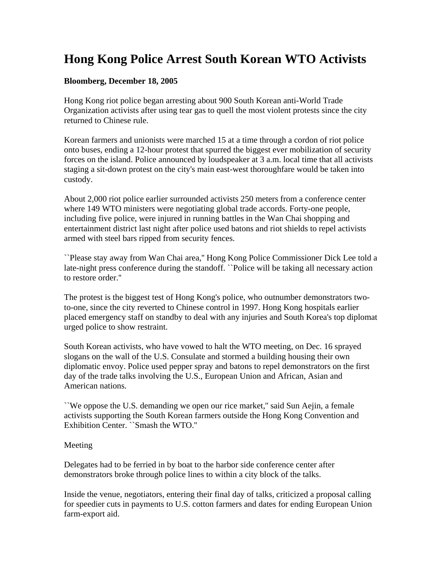# **Hong Kong Police Arrest South Korean WTO Activists**

### **Bloomberg, December 18, 2005**

Hong Kong riot police began arresting about 900 South Korean anti-World Trade Organization activists after using tear gas to quell the most violent protests since the city returned to Chinese rule.

Korean farmers and unionists were marched 15 at a time through a cordon of riot police onto buses, ending a 12-hour protest that spurred the biggest ever mobilization of security forces on the island. Police announced by loudspeaker at 3 a.m. local time that all activists staging a sit-down protest on the city's main east-west thoroughfare would be taken into custody.

About 2,000 riot police earlier surrounded activists 250 meters from a conference center where 149 WTO ministers were negotiating global trade accords. Forty-one people, including five police, were injured in running battles in the Wan Chai shopping and entertainment district last night after police used batons and riot shields to repel activists armed with steel bars ripped from security fences.

``Please stay away from Wan Chai area,'' Hong Kong Police Commissioner Dick Lee told a late-night press conference during the standoff. ``Police will be taking all necessary action to restore order.''

The protest is the biggest test of Hong Kong's police, who outnumber demonstrators twoto-one, since the city reverted to Chinese control in 1997. Hong Kong hospitals earlier placed emergency staff on standby to deal with any injuries and South Korea's top diplomat urged police to show restraint.

South Korean activists, who have vowed to halt the WTO meeting, on Dec. 16 sprayed slogans on the wall of the U.S. Consulate and stormed a building housing their own diplomatic envoy. Police used pepper spray and batons to repel demonstrators on the first day of the trade talks involving the U.S., European Union and African, Asian and American nations.

``We oppose the U.S. demanding we open our rice market,'' said Sun Aejin, a female activists supporting the South Korean farmers outside the Hong Kong Convention and Exhibition Center. ``Smash the WTO.''

### Meeting

Delegates had to be ferried in by boat to the harbor side conference center after demonstrators broke through police lines to within a city block of the talks.

Inside the venue, negotiators, entering their final day of talks, criticized a proposal calling for speedier cuts in payments to U.S. cotton farmers and dates for ending European Union farm-export aid.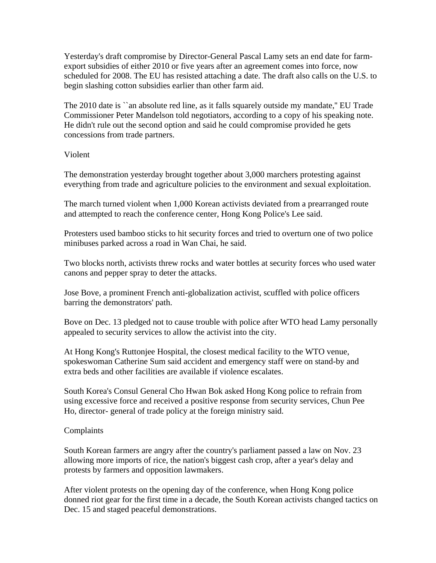Yesterday's draft compromise by Director-General Pascal Lamy sets an end date for farmexport subsidies of either 2010 or five years after an agreement comes into force, now scheduled for 2008. The EU has resisted attaching a date. The draft also calls on the U.S. to begin slashing cotton subsidies earlier than other farm aid.

The 2010 date is "an absolute red line, as it falls squarely outside my mandate," EU Trade Commissioner Peter Mandelson told negotiators, according to a copy of his speaking note. He didn't rule out the second option and said he could compromise provided he gets concessions from trade partners.

### Violent

The demonstration yesterday brought together about 3,000 marchers protesting against everything from trade and agriculture policies to the environment and sexual exploitation.

The march turned violent when 1,000 Korean activists deviated from a prearranged route and attempted to reach the conference center, Hong Kong Police's Lee said.

Protesters used bamboo sticks to hit security forces and tried to overturn one of two police minibuses parked across a road in Wan Chai, he said.

Two blocks north, activists threw rocks and water bottles at security forces who used water canons and pepper spray to deter the attacks.

Jose Bove, a prominent French anti-globalization activist, scuffled with police officers barring the demonstrators' path.

Bove on Dec. 13 pledged not to cause trouble with police after WTO head Lamy personally appealed to security services to allow the activist into the city.

At Hong Kong's Ruttonjee Hospital, the closest medical facility to the WTO venue, spokeswoman Catherine Sum said accident and emergency staff were on stand-by and extra beds and other facilities are available if violence escalates.

South Korea's Consul General Cho Hwan Bok asked Hong Kong police to refrain from using excessive force and received a positive response from security services, Chun Pee Ho, director- general of trade policy at the foreign ministry said.

## Complaints

South Korean farmers are angry after the country's parliament passed a law on Nov. 23 allowing more imports of rice, the nation's biggest cash crop, after a year's delay and protests by farmers and opposition lawmakers.

After violent protests on the opening day of the conference, when Hong Kong police donned riot gear for the first time in a decade, the South Korean activists changed tactics on Dec. 15 and staged peaceful demonstrations.